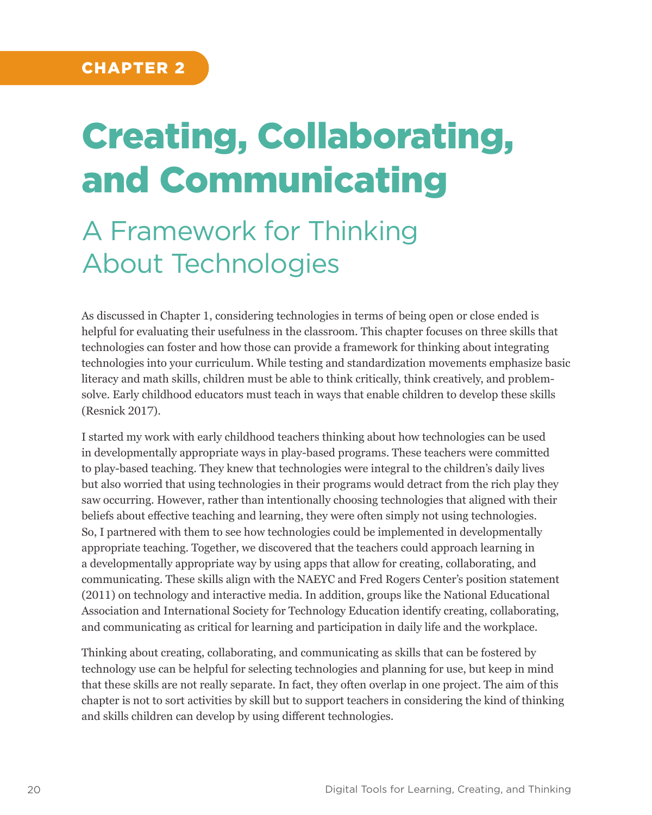# Creating, Collaborating, and Communicating

## A Framework for Thinking About Technologies

As discussed in Chapter 1, considering technologies in terms of being open or close ended is helpful for evaluating their usefulness in the classroom. This chapter focuses on three skills that technologies can foster and how those can provide a framework for thinking about integrating technologies into your curriculum. While testing and standardization movements emphasize basic literacy and math skills, children must be able to think critically, think creatively, and problemsolve. Early childhood educators must teach in ways that enable children to develop these skills (Resnick 2017).

I started my work with early childhood teachers thinking about how technologies can be used in developmentally appropriate ways in play-based programs. These teachers were committed to play-based teaching. They knew that technologies were integral to the children's daily lives but also worried that using technologies in their programs would detract from the rich play they saw occurring. However, rather than intentionally choosing technologies that aligned with their beliefs about effective teaching and learning, they were often simply not using technologies. So, I partnered with them to see how technologies could be implemented in developmentally appropriate teaching. Together, we discovered that the teachers could approach learning in a developmentally appropriate way by using apps that allow for creating, collaborating, and communicating. These skills align with the NAEYC and Fred Rogers Center's position statement (2011) on technology and interactive media. In addition, groups like the National Educational Association and International Society for Technology Education identify creating, collaborating, and communicating as critical for learning and participation in daily life and the workplace.

Thinking about creating, collaborating, and communicating as skills that can be fostered by technology use can be helpful for selecting technologies and planning for use, but keep in mind that these skills are not really separate. In fact, they often overlap in one project. The aim of this chapter is not to sort activities by skill but to support teachers in considering the kind of thinking and skills children can develop by using different technologies.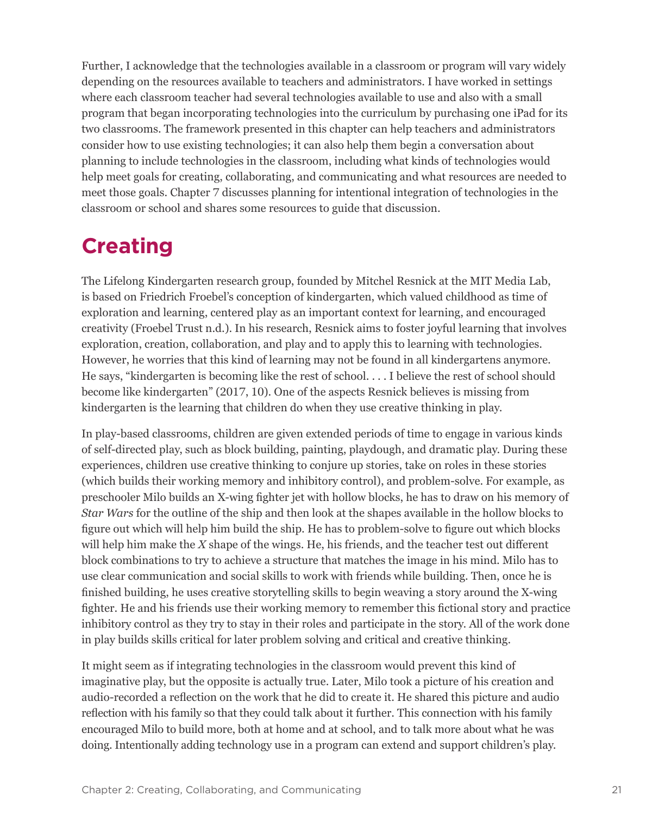Further, I acknowledge that the technologies available in a classroom or program will vary widely depending on the resources available to teachers and administrators. I have worked in settings where each classroom teacher had several technologies available to use and also with a small program that began incorporating technologies into the curriculum by purchasing one iPad for its two classrooms. The framework presented in this chapter can help teachers and administrators consider how to use existing technologies; it can also help them begin a conversation about planning to include technologies in the classroom, including what kinds of technologies would help meet goals for creating, collaborating, and communicating and what resources are needed to meet those goals. Chapter 7 discusses planning for intentional integration of technologies in the classroom or school and shares some resources to guide that discussion.

## **Creating**

The Lifelong Kindergarten research group, founded by Mitchel Resnick at the MIT Media Lab, is based on Friedrich Froebel's conception of kindergarten, which valued childhood as time of exploration and learning, centered play as an important context for learning, and encouraged creativity (Froebel Trust n.d.). In his research, Resnick aims to foster joyful learning that involves exploration, creation, collaboration, and play and to apply this to learning with technologies. However, he worries that this kind of learning may not be found in all kindergartens anymore. He says, "kindergarten is becoming like the rest of school. . . . I believe the rest of school should become like kindergarten" (2017, 10). One of the aspects Resnick believes is missing from kindergarten is the learning that children do when they use creative thinking in play.

In play-based classrooms, children are given extended periods of time to engage in various kinds of self-directed play, such as block building, painting, playdough, and dramatic play. During these experiences, children use creative thinking to conjure up stories, take on roles in these stories (which builds their working memory and inhibitory control), and problem-solve. For example, as preschooler Milo builds an X-wing fighter jet with hollow blocks, he has to draw on his memory of *Star Wars* for the outline of the ship and then look at the shapes available in the hollow blocks to figure out which will help him build the ship. He has to problem-solve to figure out which blocks will help him make the *X* shape of the wings. He, his friends, and the teacher test out different block combinations to try to achieve a structure that matches the image in his mind. Milo has to use clear communication and social skills to work with friends while building. Then, once he is finished building, he uses creative storytelling skills to begin weaving a story around the X-wing fighter. He and his friends use their working memory to remember this fictional story and practice inhibitory control as they try to stay in their roles and participate in the story. All of the work done in play builds skills critical for later problem solving and critical and creative thinking.

It might seem as if integrating technologies in the classroom would prevent this kind of imaginative play, but the opposite is actually true. Later, Milo took a picture of his creation and audio-recorded a reflection on the work that he did to create it. He shared this picture and audio reflection with his family so that they could talk about it further. This connection with his family encouraged Milo to build more, both at home and at school, and to talk more about what he was doing. Intentionally adding technology use in a program can extend and support children's play.